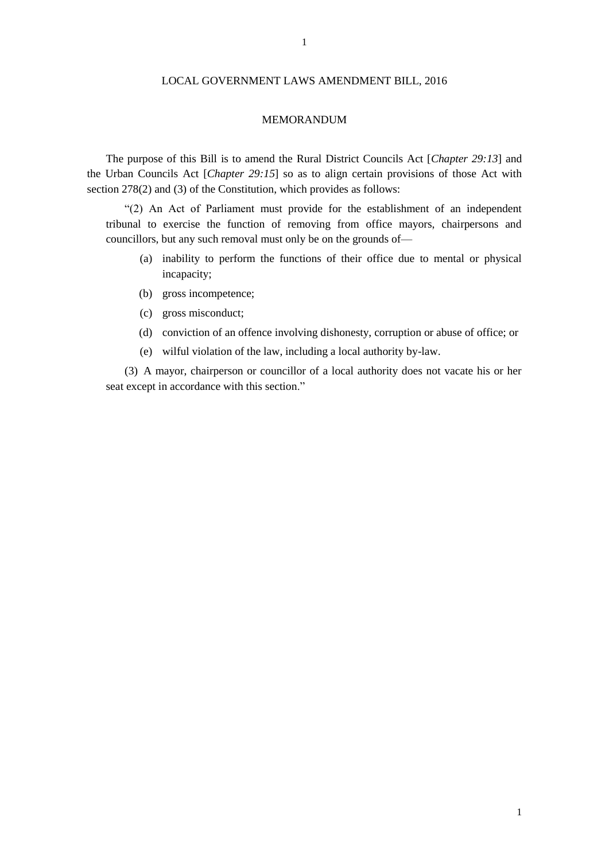## LOCAL GOVERNMENT LAWS AMENDMENT BILL, 2016

## MEMORANDUM

The purpose of this Bill is to amend the Rural District Councils Act [*Chapter 29:13*] and the Urban Councils Act [*Chapter 29:15*] so as to align certain provisions of those Act with section 278(2) and (3) of the Constitution, which provides as follows:

"(2) An Act of Parliament must provide for the establishment of an independent tribunal to exercise the function of removing from office mayors, chairpersons and councillors, but any such removal must only be on the grounds of—

- (a) inability to perform the functions of their office due to mental or physical incapacity;
- (b) gross incompetence;
- (c) gross misconduct;
- (d) conviction of an offence involving dishonesty, corruption or abuse of office; or
- (e) wilful violation of the law, including a local authority by-law.

(3) A mayor, chairperson or councillor of a local authority does not vacate his or her seat except in accordance with this section."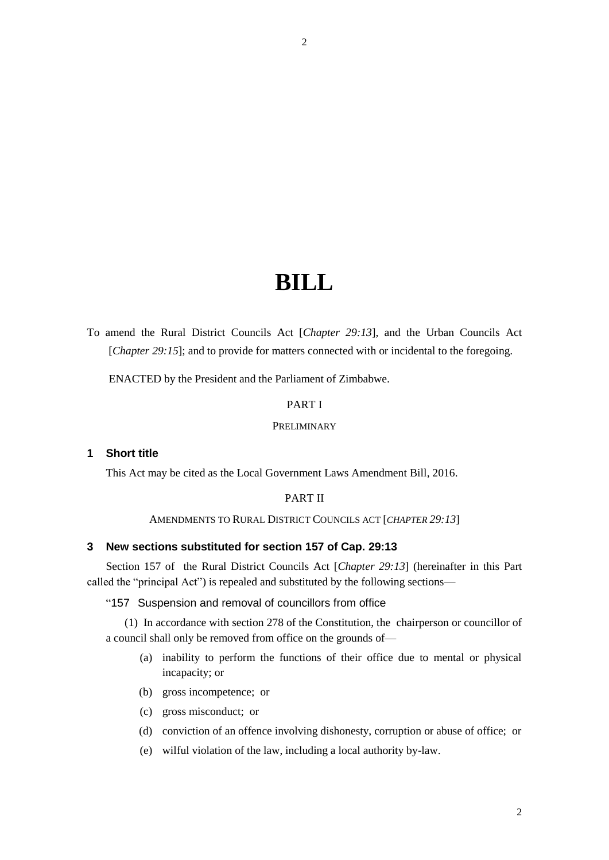# **BILL**

To amend the Rural District Councils Act [*Chapter 29:13*], and the Urban Councils Act [*Chapter 29:15*]; and to provide for matters connected with or incidental to the foregoing.

ENACTED by the President and the Parliament of Zimbabwe.

## PART I

## PRELIMINARY

# **1 Short title**

This Act may be cited as the Local Government Laws Amendment Bill, 2016.

## PART II

## AMENDMENTS TO RURAL DISTRICT COUNCILS ACT [*CHAPTER 29:13*]

## **3 New sections substituted for section 157 of Cap. 29:13**

Section 157 of the Rural District Councils Act [*Chapter 29:13*] (hereinafter in this Part called the "principal Act") is repealed and substituted by the following sections—

## "157 Suspension and removal of councillors from office

(1) In accordance with section 278 of the Constitution, the chairperson or councillor of a council shall only be removed from office on the grounds of—

- (a) inability to perform the functions of their office due to mental or physical incapacity; or
- (b) gross incompetence; or
- (c) gross misconduct; or
- (d) conviction of an offence involving dishonesty, corruption or abuse of office; or
- (e) wilful violation of the law, including a local authority by-law.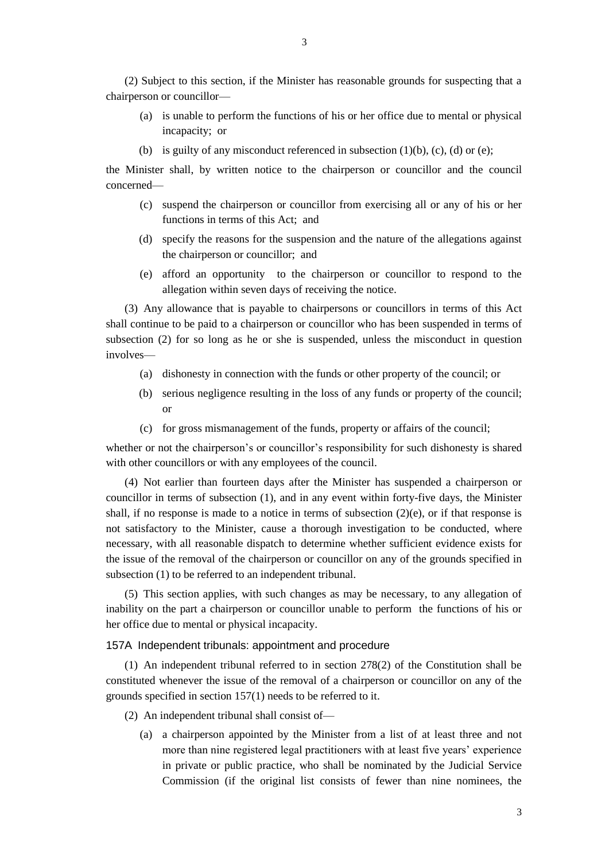(2) Subject to this section, if the Minister has reasonable grounds for suspecting that a

chairperson or councillor— (a) is unable to perform the functions of his or her office due to mental or physical

incapacity; or

(b) is guilty of any misconduct referenced in subsection  $(1)(b)$ ,  $(c)$ ,  $(d)$  or  $(e)$ ;

the Minister shall, by written notice to the chairperson or councillor and the council concerned—

- (c) suspend the chairperson or councillor from exercising all or any of his or her functions in terms of this Act; and
- (d) specify the reasons for the suspension and the nature of the allegations against the chairperson or councillor; and
- (e) afford an opportunity to the chairperson or councillor to respond to the allegation within seven days of receiving the notice.

(3) Any allowance that is payable to chairpersons or councillors in terms of this Act shall continue to be paid to a chairperson or councillor who has been suspended in terms of subsection (2) for so long as he or she is suspended, unless the misconduct in question involves—

- (a) dishonesty in connection with the funds or other property of the council; or
- (b) serious negligence resulting in the loss of any funds or property of the council; or
- (c) for gross mismanagement of the funds, property or affairs of the council;

whether or not the chairperson's or councillor's responsibility for such dishonesty is shared with other councillors or with any employees of the council.

(4) Not earlier than fourteen days after the Minister has suspended a chairperson or councillor in terms of subsection (1), and in any event within forty-five days, the Minister shall, if no response is made to a notice in terms of subsection  $(2)(e)$ , or if that response is not satisfactory to the Minister, cause a thorough investigation to be conducted, where necessary, with all reasonable dispatch to determine whether sufficient evidence exists for the issue of the removal of the chairperson or councillor on any of the grounds specified in subsection (1) to be referred to an independent tribunal.

(5) This section applies, with such changes as may be necessary, to any allegation of inability on the part a chairperson or councillor unable to perform the functions of his or her office due to mental or physical incapacity.

## 157A Independent tribunals: appointment and procedure

(1) An independent tribunal referred to in section 278(2) of the Constitution shall be constituted whenever the issue of the removal of a chairperson or councillor on any of the grounds specified in section 157(1) needs to be referred to it.

(2) An independent tribunal shall consist of—

(a) a chairperson appointed by the Minister from a list of at least three and not more than nine registered legal practitioners with at least five years' experience in private or public practice, who shall be nominated by the Judicial Service Commission (if the original list consists of fewer than nine nominees, the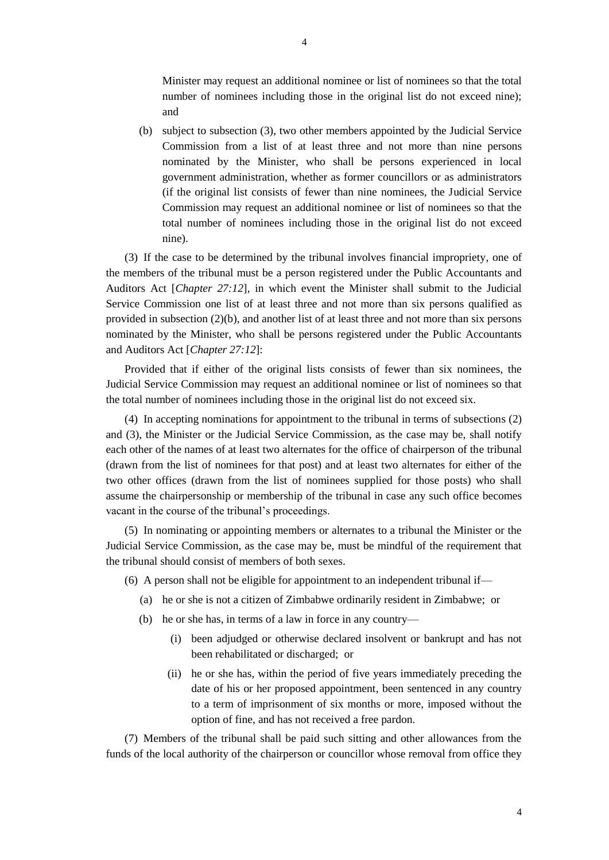Minister may request an additional nominee or list of nominees so that the total number of nominees including those in the original list do not exceed nine); and

(b) subject to subsection (3), two other members appointed by the Judicial Service Commission from a list of at least three and not more than nine persons nominated by the Minister, who shall be persons experienced in local government administration, whether as former councillors or as administrators (if the original list consists of fewer than nine nominees, the Judicial Service Commission may request an additional nominee or list of nominees so that the total number of nominees including those in the original list do not exceed nine).

(3) If the case to be determined by the tribunal involves financial impropriety, one of the members of the tribunal must be a person registered under the Public Accountants and Auditors Act [*Chapter 27:12*], in which event the Minister shall submit to the Judicial Service Commission one list of at least three and not more than six persons qualified as provided in subsection (2)(b), and another list of at least three and not more than six persons nominated by the Minister, who shall be persons registered under the Public Accountants and Auditors Act [*Chapter 27:12*]:

Provided that if either of the original lists consists of fewer than six nominees, the Judicial Service Commission may request an additional nominee or list of nominees so that the total number of nominees including those in the original list do not exceed six.

(4) In accepting nominations for appointment to the tribunal in terms of subsections (2) and (3), the Minister or the Judicial Service Commission, as the case may be, shall notify each other of the names of at least two alternates for the office of chairperson of the tribunal (drawn from the list of nominees for that post) and at least two alternates for either of the two other offices (drawn from the list of nominees supplied for those posts) who shall assume the chairpersonship or membership of the tribunal in case any such office becomes vacant in the course of the tribunal's proceedings.

(5) In nominating or appointing members or alternates to a tribunal the Minister or the Judicial Service Commission, as the case may be, must be mindful of the requirement that the tribunal should consist of members of both sexes.

(6) A person shall not be eligible for appointment to an independent tribunal if—

- (a) he or she is not a citizen of Zimbabwe ordinarily resident in Zimbabwe; or
- (b) he or she has, in terms of a law in force in any country—
	- (i) been adjudged or otherwise declared insolvent or bankrupt and has not been rehabilitated or discharged; or
	- (ii) he or she has, within the period of five years immediately preceding the date of his or her proposed appointment, been sentenced in any country to a term of imprisonment of six months or more, imposed without the option of fine, and has not received a free pardon.

(7) Members of the tribunal shall be paid such sitting and other allowances from the funds of the local authority of the chairperson or councillor whose removal from office they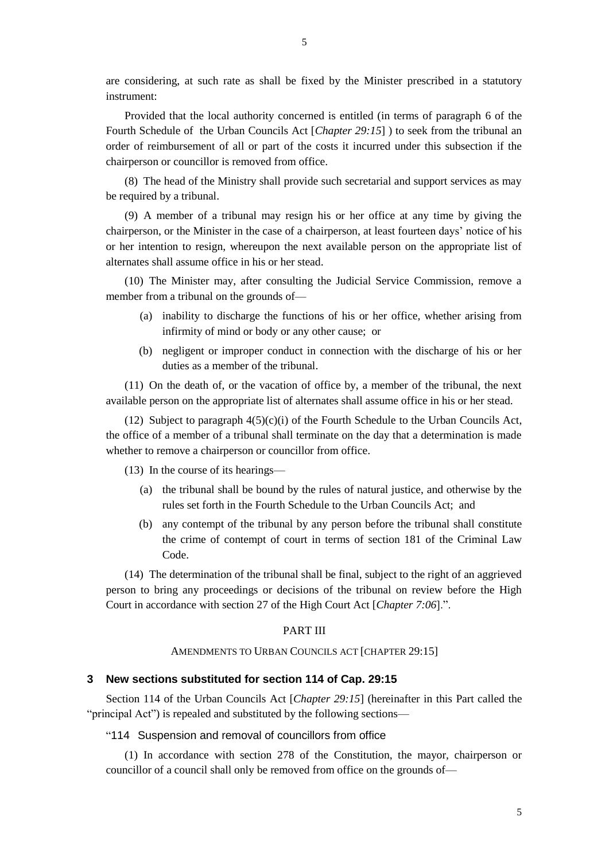are considering, at such rate as shall be fixed by the Minister prescribed in a statutory instrument:

Provided that the local authority concerned is entitled (in terms of paragraph 6 of the Fourth Schedule of the Urban Councils Act [*Chapter 29:15*] ) to seek from the tribunal an order of reimbursement of all or part of the costs it incurred under this subsection if the chairperson or councillor is removed from office.

(8) The head of the Ministry shall provide such secretarial and support services as may be required by a tribunal.

(9) A member of a tribunal may resign his or her office at any time by giving the chairperson, or the Minister in the case of a chairperson, at least fourteen days' notice of his or her intention to resign, whereupon the next available person on the appropriate list of alternates shall assume office in his or her stead.

(10) The Minister may, after consulting the Judicial Service Commission, remove a member from a tribunal on the grounds of—

- (a) inability to discharge the functions of his or her office, whether arising from infirmity of mind or body or any other cause; or
- (b) negligent or improper conduct in connection with the discharge of his or her duties as a member of the tribunal.

(11) On the death of, or the vacation of office by, a member of the tribunal, the next available person on the appropriate list of alternates shall assume office in his or her stead.

(12) Subject to paragraph  $4(5)(c)(i)$  of the Fourth Schedule to the Urban Councils Act, the office of a member of a tribunal shall terminate on the day that a determination is made whether to remove a chairperson or councillor from office.

(13) In the course of its hearings—

- (a) the tribunal shall be bound by the rules of natural justice, and otherwise by the rules set forth in the Fourth Schedule to the Urban Councils Act; and
- (b) any contempt of the tribunal by any person before the tribunal shall constitute the crime of contempt of court in terms of section 181 of the Criminal Law Code.

(14) The determination of the tribunal shall be final, subject to the right of an aggrieved person to bring any proceedings or decisions of the tribunal on review before the High Court in accordance with section 27 of the High Court Act [*Chapter 7:06*].".

#### PART III

#### AMENDMENTS TO URBAN COUNCILS ACT [CHAPTER 29:15]

## **3 New sections substituted for section 114 of Cap. 29:15**

Section 114 of the Urban Councils Act [*Chapter 29:15*] (hereinafter in this Part called the "principal Act") is repealed and substituted by the following sections—

"114 Suspension and removal of councillors from office

(1) In accordance with section 278 of the Constitution, the mayor, chairperson or councillor of a council shall only be removed from office on the grounds of—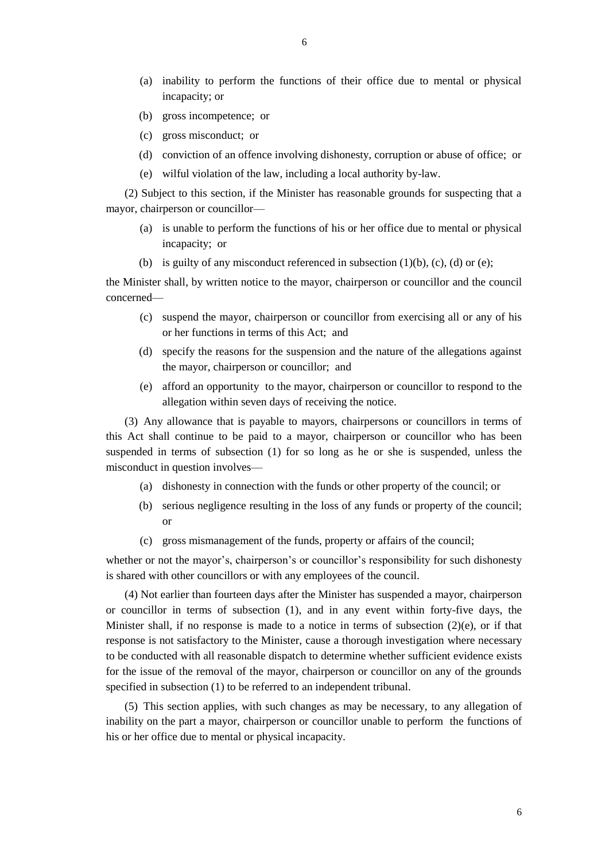- (a) inability to perform the functions of their office due to mental or physical incapacity; or
- (b) gross incompetence; or
- (c) gross misconduct; or
- (d) conviction of an offence involving dishonesty, corruption or abuse of office; or
- (e) wilful violation of the law, including a local authority by-law.

(2) Subject to this section, if the Minister has reasonable grounds for suspecting that a mayor, chairperson or councillor—

- (a) is unable to perform the functions of his or her office due to mental or physical incapacity; or
- (b) is guilty of any misconduct referenced in subsection  $(1)(b)$ ,  $(c)$ ,  $(d)$  or  $(e)$ ;

the Minister shall, by written notice to the mayor, chairperson or councillor and the council concerned—

- (c) suspend the mayor, chairperson or councillor from exercising all or any of his or her functions in terms of this Act; and
- (d) specify the reasons for the suspension and the nature of the allegations against the mayor, chairperson or councillor; and
- (e) afford an opportunity to the mayor, chairperson or councillor to respond to the allegation within seven days of receiving the notice.

(3) Any allowance that is payable to mayors, chairpersons or councillors in terms of this Act shall continue to be paid to a mayor, chairperson or councillor who has been suspended in terms of subsection (1) for so long as he or she is suspended, unless the misconduct in question involves—

- (a) dishonesty in connection with the funds or other property of the council; or
- (b) serious negligence resulting in the loss of any funds or property of the council; or
- (c) gross mismanagement of the funds, property or affairs of the council;

whether or not the mayor's, chairperson's or councillor's responsibility for such dishonesty is shared with other councillors or with any employees of the council.

(4) Not earlier than fourteen days after the Minister has suspended a mayor, chairperson or councillor in terms of subsection (1), and in any event within forty-five days, the Minister shall, if no response is made to a notice in terms of subsection  $(2)(e)$ , or if that response is not satisfactory to the Minister, cause a thorough investigation where necessary to be conducted with all reasonable dispatch to determine whether sufficient evidence exists for the issue of the removal of the mayor, chairperson or councillor on any of the grounds specified in subsection (1) to be referred to an independent tribunal.

(5) This section applies, with such changes as may be necessary, to any allegation of inability on the part a mayor, chairperson or councillor unable to perform the functions of his or her office due to mental or physical incapacity.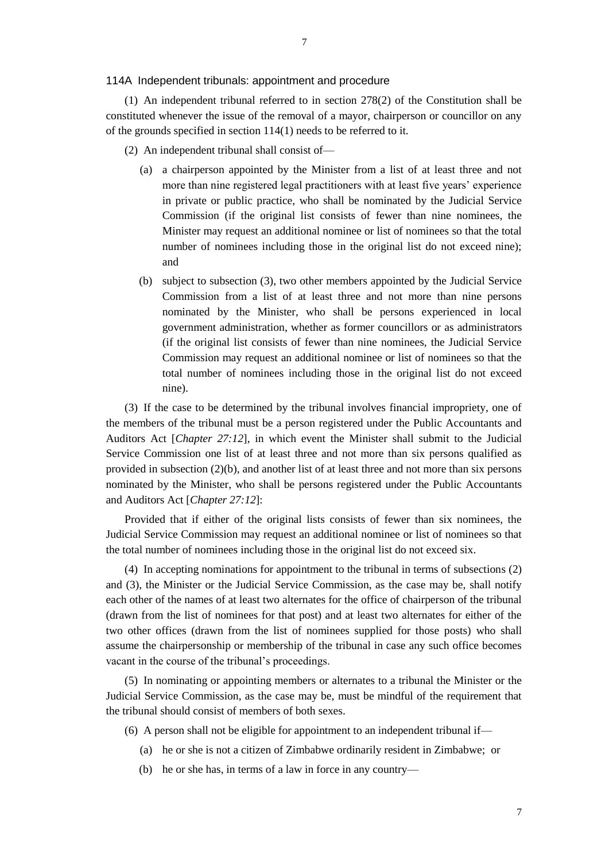#### 114A Independent tribunals: appointment and procedure

(1) An independent tribunal referred to in section 278(2) of the Constitution shall be constituted whenever the issue of the removal of a mayor, chairperson or councillor on any of the grounds specified in section 114(1) needs to be referred to it.

(2) An independent tribunal shall consist of—

- (a) a chairperson appointed by the Minister from a list of at least three and not more than nine registered legal practitioners with at least five years' experience in private or public practice, who shall be nominated by the Judicial Service Commission (if the original list consists of fewer than nine nominees, the Minister may request an additional nominee or list of nominees so that the total number of nominees including those in the original list do not exceed nine); and
- (b) subject to subsection (3), two other members appointed by the Judicial Service Commission from a list of at least three and not more than nine persons nominated by the Minister, who shall be persons experienced in local government administration, whether as former councillors or as administrators (if the original list consists of fewer than nine nominees, the Judicial Service Commission may request an additional nominee or list of nominees so that the total number of nominees including those in the original list do not exceed nine).

(3) If the case to be determined by the tribunal involves financial impropriety, one of the members of the tribunal must be a person registered under the Public Accountants and Auditors Act [*Chapter 27:12*], in which event the Minister shall submit to the Judicial Service Commission one list of at least three and not more than six persons qualified as provided in subsection (2)(b), and another list of at least three and not more than six persons nominated by the Minister, who shall be persons registered under the Public Accountants and Auditors Act [*Chapter 27:12*]:

Provided that if either of the original lists consists of fewer than six nominees, the Judicial Service Commission may request an additional nominee or list of nominees so that the total number of nominees including those in the original list do not exceed six.

(4) In accepting nominations for appointment to the tribunal in terms of subsections (2) and (3), the Minister or the Judicial Service Commission, as the case may be, shall notify each other of the names of at least two alternates for the office of chairperson of the tribunal (drawn from the list of nominees for that post) and at least two alternates for either of the two other offices (drawn from the list of nominees supplied for those posts) who shall assume the chairpersonship or membership of the tribunal in case any such office becomes vacant in the course of the tribunal's proceedings.

(5) In nominating or appointing members or alternates to a tribunal the Minister or the Judicial Service Commission, as the case may be, must be mindful of the requirement that the tribunal should consist of members of both sexes.

(6) A person shall not be eligible for appointment to an independent tribunal if—

- (a) he or she is not a citizen of Zimbabwe ordinarily resident in Zimbabwe; or
- (b) he or she has, in terms of a law in force in any country—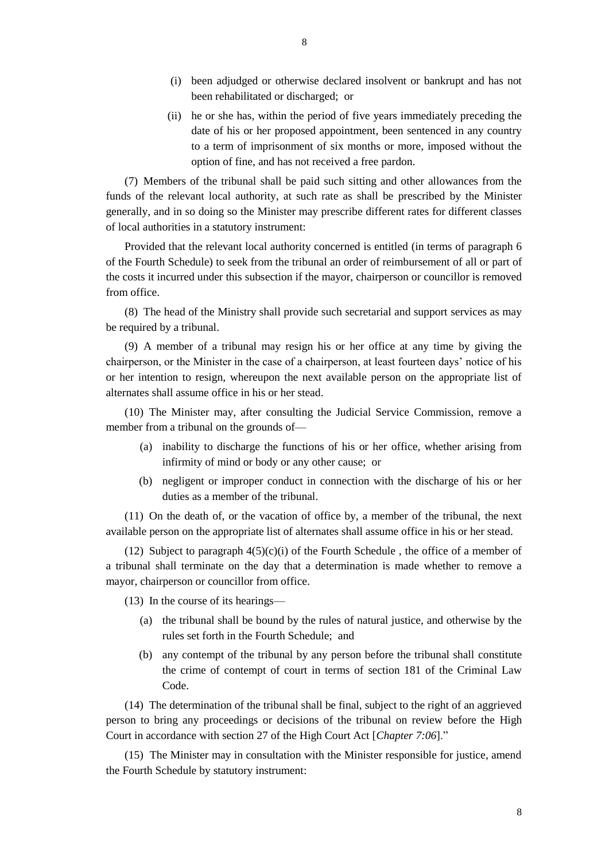- (i) been adjudged or otherwise declared insolvent or bankrupt and has not been rehabilitated or discharged; or
- (ii) he or she has, within the period of five years immediately preceding the date of his or her proposed appointment, been sentenced in any country to a term of imprisonment of six months or more, imposed without the option of fine, and has not received a free pardon.

(7) Members of the tribunal shall be paid such sitting and other allowances from the funds of the relevant local authority, at such rate as shall be prescribed by the Minister generally, and in so doing so the Minister may prescribe different rates for different classes of local authorities in a statutory instrument:

Provided that the relevant local authority concerned is entitled (in terms of paragraph 6 of the Fourth Schedule) to seek from the tribunal an order of reimbursement of all or part of the costs it incurred under this subsection if the mayor, chairperson or councillor is removed from office.

(8) The head of the Ministry shall provide such secretarial and support services as may be required by a tribunal.

(9) A member of a tribunal may resign his or her office at any time by giving the chairperson, or the Minister in the case of a chairperson, at least fourteen days' notice of his or her intention to resign, whereupon the next available person on the appropriate list of alternates shall assume office in his or her stead.

(10) The Minister may, after consulting the Judicial Service Commission, remove a member from a tribunal on the grounds of—

- (a) inability to discharge the functions of his or her office, whether arising from infirmity of mind or body or any other cause; or
- (b) negligent or improper conduct in connection with the discharge of his or her duties as a member of the tribunal.

(11) On the death of, or the vacation of office by, a member of the tribunal, the next available person on the appropriate list of alternates shall assume office in his or her stead.

(12) Subject to paragraph  $4(5)(c)(i)$  of the Fourth Schedule, the office of a member of a tribunal shall terminate on the day that a determination is made whether to remove a mayor, chairperson or councillor from office.

(13) In the course of its hearings—

- (a) the tribunal shall be bound by the rules of natural justice, and otherwise by the rules set forth in the Fourth Schedule; and
- (b) any contempt of the tribunal by any person before the tribunal shall constitute the crime of contempt of court in terms of section 181 of the Criminal Law Code.

(14) The determination of the tribunal shall be final, subject to the right of an aggrieved person to bring any proceedings or decisions of the tribunal on review before the High Court in accordance with section 27 of the High Court Act [*Chapter 7:06*]."

(15) The Minister may in consultation with the Minister responsible for justice, amend the Fourth Schedule by statutory instrument: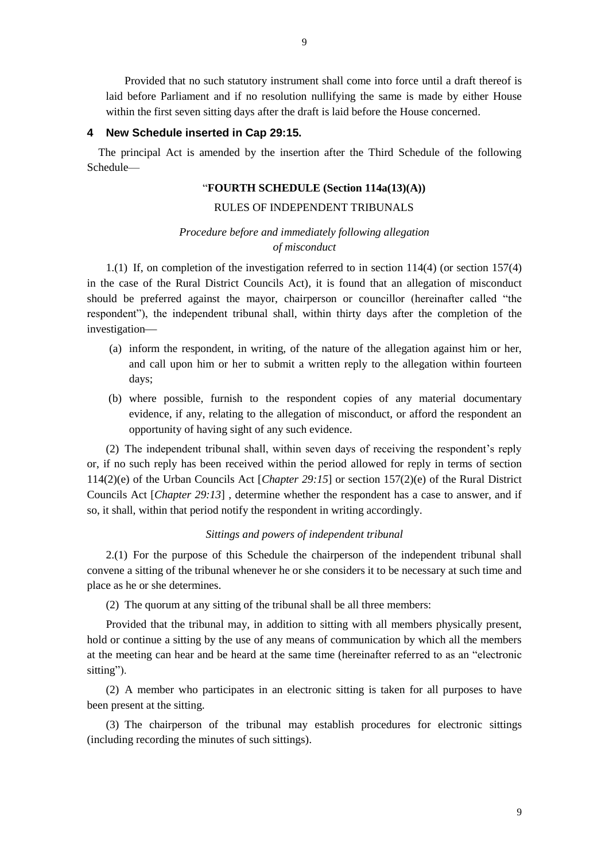Provided that no such statutory instrument shall come into force until a draft thereof is laid before Parliament and if no resolution nullifying the same is made by either House within the first seven sitting days after the draft is laid before the House concerned.

## **4 New Schedule inserted in Cap 29:15.**

 The principal Act is amended by the insertion after the Third Schedule of the following Schedule—

## "**FOURTH SCHEDULE (Section 114a(13)(A))**

## RULES OF INDEPENDENT TRIBUNALS

# *Procedure before and immediately following allegation of misconduct*

1.(1) If, on completion of the investigation referred to in section 114(4) (or section 157(4) in the case of the Rural District Councils Act), it is found that an allegation of misconduct should be preferred against the mayor, chairperson or councillor (hereinafter called "the respondent"), the independent tribunal shall, within thirty days after the completion of the investigation

- (a) inform the respondent, in writing, of the nature of the allegation against him or her, and call upon him or her to submit a written reply to the allegation within fourteen days;
- (b) where possible, furnish to the respondent copies of any material documentary evidence, if any, relating to the allegation of misconduct, or afford the respondent an opportunity of having sight of any such evidence.

(2) The independent tribunal shall, within seven days of receiving the respondent's reply or, if no such reply has been received within the period allowed for reply in terms of section 114(2)(e) of the Urban Councils Act [*Chapter 29:15*] or section 157(2)(e) of the Rural District Councils Act [*Chapter 29:13*] , determine whether the respondent has a case to answer, and if so, it shall, within that period notify the respondent in writing accordingly.

# *Sittings and powers of independent tribunal*

2.(1) For the purpose of this Schedule the chairperson of the independent tribunal shall convene a sitting of the tribunal whenever he or she considers it to be necessary at such time and place as he or she determines.

(2) The quorum at any sitting of the tribunal shall be all three members:

Provided that the tribunal may, in addition to sitting with all members physically present, hold or continue a sitting by the use of any means of communication by which all the members at the meeting can hear and be heard at the same time (hereinafter referred to as an "electronic sitting").

(2) A member who participates in an electronic sitting is taken for all purposes to have been present at the sitting.

(3) The chairperson of the tribunal may establish procedures for electronic sittings (including recording the minutes of such sittings).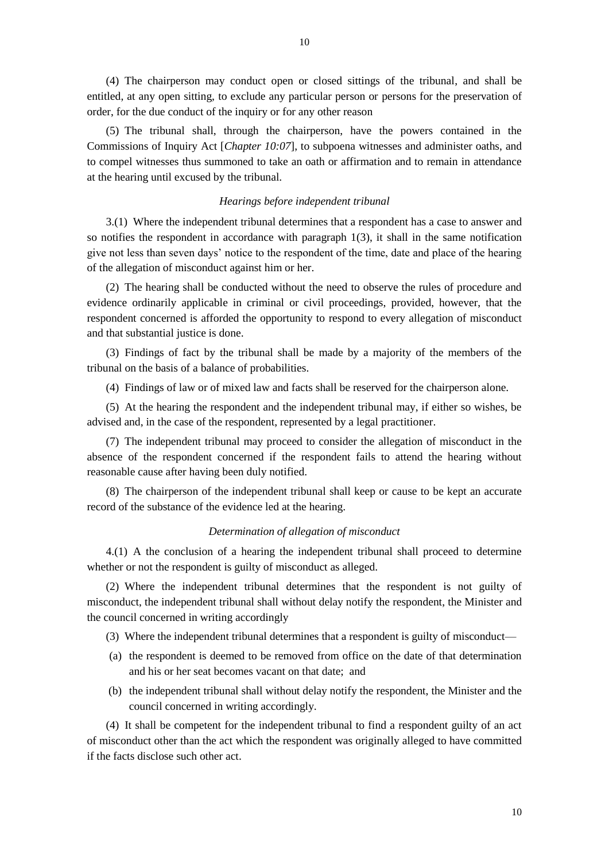(4) The chairperson may conduct open or closed sittings of the tribunal, and shall be entitled, at any open sitting, to exclude any particular person or persons for the preservation of order, for the due conduct of the inquiry or for any other reason

(5) The tribunal shall, through the chairperson, have the powers contained in the Commissions of Inquiry Act [*Chapter 10:07*], to subpoena witnesses and administer oaths, and to compel witnesses thus summoned to take an oath or affirmation and to remain in attendance at the hearing until excused by the tribunal.

## *Hearings before independent tribunal*

3.(1) Where the independent tribunal determines that a respondent has a case to answer and so notifies the respondent in accordance with paragraph 1(3), it shall in the same notification give not less than seven days' notice to the respondent of the time, date and place of the hearing of the allegation of misconduct against him or her.

(2) The hearing shall be conducted without the need to observe the rules of procedure and evidence ordinarily applicable in criminal or civil proceedings, provided, however, that the respondent concerned is afforded the opportunity to respond to every allegation of misconduct and that substantial justice is done.

(3) Findings of fact by the tribunal shall be made by a majority of the members of the tribunal on the basis of a balance of probabilities.

(4) Findings of law or of mixed law and facts shall be reserved for the chairperson alone.

(5) At the hearing the respondent and the independent tribunal may, if either so wishes, be advised and, in the case of the respondent, represented by a legal practitioner.

(7) The independent tribunal may proceed to consider the allegation of misconduct in the absence of the respondent concerned if the respondent fails to attend the hearing without reasonable cause after having been duly notified.

(8) The chairperson of the independent tribunal shall keep or cause to be kept an accurate record of the substance of the evidence led at the hearing.

#### *Determination of allegation of misconduct*

4.(1) A the conclusion of a hearing the independent tribunal shall proceed to determine whether or not the respondent is guilty of misconduct as alleged.

(2) Where the independent tribunal determines that the respondent is not guilty of misconduct, the independent tribunal shall without delay notify the respondent, the Minister and the council concerned in writing accordingly

(3) Where the independent tribunal determines that a respondent is guilty of misconduct—

- (a) the respondent is deemed to be removed from office on the date of that determination and his or her seat becomes vacant on that date; and
- (b) the independent tribunal shall without delay notify the respondent, the Minister and the council concerned in writing accordingly.

(4) It shall be competent for the independent tribunal to find a respondent guilty of an act of misconduct other than the act which the respondent was originally alleged to have committed if the facts disclose such other act.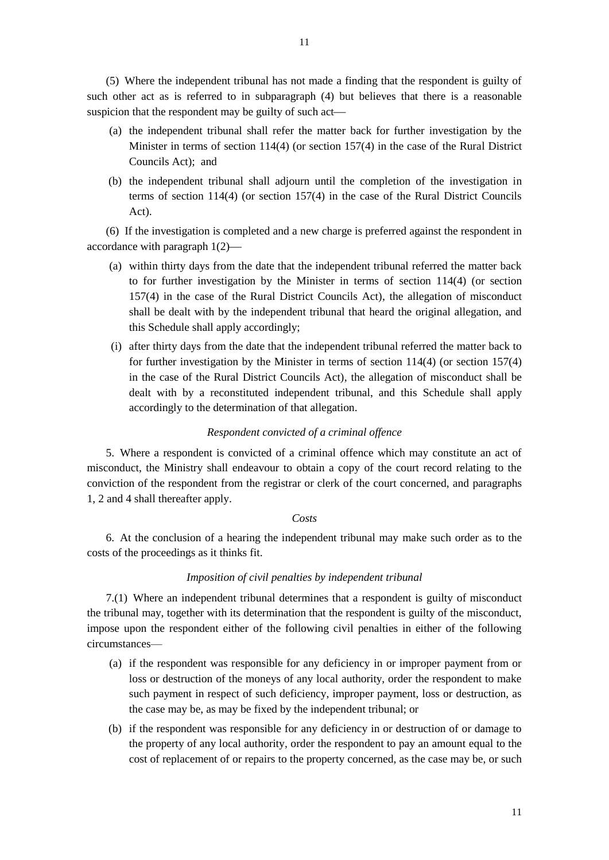(5) Where the independent tribunal has not made a finding that the respondent is guilty of such other act as is referred to in subparagraph (4) but believes that there is a reasonable suspicion that the respondent may be guilty of such act—

- (a) the independent tribunal shall refer the matter back for further investigation by the Minister in terms of section 114(4) (or section 157(4) in the case of the Rural District Councils Act); and
- (b) the independent tribunal shall adjourn until the completion of the investigation in terms of section 114(4) (or section 157(4) in the case of the Rural District Councils Act).

(6) If the investigation is completed and a new charge is preferred against the respondent in accordance with paragraph 1(2)

- (a) within thirty days from the date that the independent tribunal referred the matter back to for further investigation by the Minister in terms of section 114(4) (or section 157(4) in the case of the Rural District Councils Act), the allegation of misconduct shall be dealt with by the independent tribunal that heard the original allegation, and this Schedule shall apply accordingly;
- (i) after thirty days from the date that the independent tribunal referred the matter back to for further investigation by the Minister in terms of section 114(4) (or section 157(4) in the case of the Rural District Councils Act), the allegation of misconduct shall be dealt with by a reconstituted independent tribunal, and this Schedule shall apply accordingly to the determination of that allegation.

#### *Respondent convicted of a criminal offence*

5. Where a respondent is convicted of a criminal offence which may constitute an act of misconduct, the Ministry shall endeavour to obtain a copy of the court record relating to the conviction of the respondent from the registrar or clerk of the court concerned, and paragraphs 1, 2 and 4 shall thereafter apply.

#### *Costs*

6. At the conclusion of a hearing the independent tribunal may make such order as to the costs of the proceedings as it thinks fit.

#### *Imposition of civil penalties by independent tribunal*

7.(1) Where an independent tribunal determines that a respondent is guilty of misconduct the tribunal may, together with its determination that the respondent is guilty of the misconduct, impose upon the respondent either of the following civil penalties in either of the following circumstances—

- (a) if the respondent was responsible for any deficiency in or improper payment from or loss or destruction of the moneys of any local authority, order the respondent to make such payment in respect of such deficiency, improper payment, loss or destruction, as the case may be, as may be fixed by the independent tribunal; or
- (b) if the respondent was responsible for any deficiency in or destruction of or damage to the property of any local authority, order the respondent to pay an amount equal to the cost of replacement of or repairs to the property concerned, as the case may be, or such